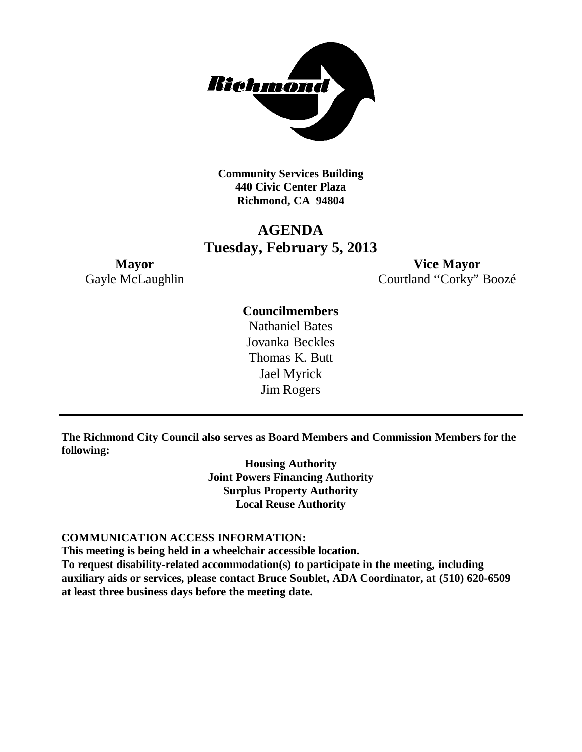

**Community Services Building 440 Civic Center Plaza Richmond, CA 94804**

# **AGENDA Tuesday, February 5, 2013**

**Mayor Vice Mayor** Gayle McLaughlin Courtland "Corky" Boozé

# **Councilmembers**

Nathaniel Bates Jovanka Beckles Thomas K. Butt Jael Myrick Jim Rogers

**The Richmond City Council also serves as Board Members and Commission Members for the following:**

> **Housing Authority Joint Powers Financing Authority Surplus Property Authority Local Reuse Authority**

#### **COMMUNICATION ACCESS INFORMATION:**

**This meeting is being held in a wheelchair accessible location.**

**To request disability-related accommodation(s) to participate in the meeting, including auxiliary aids or services, please contact Bruce Soublet, ADA Coordinator, at (510) 620-6509 at least three business days before the meeting date.**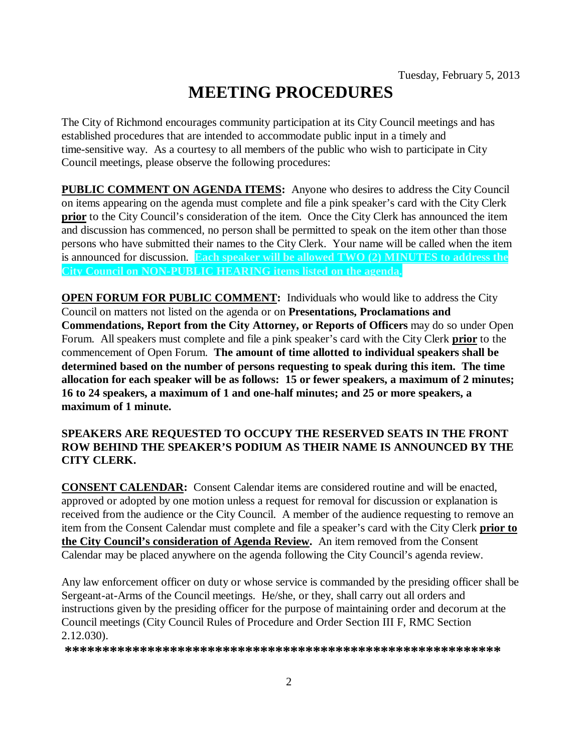# **MEETING PROCEDURES**

The City of Richmond encourages community participation at its City Council meetings and has established procedures that are intended to accommodate public input in a timely and time-sensitive way. As a courtesy to all members of the public who wish to participate in City Council meetings, please observe the following procedures:

**PUBLIC COMMENT ON AGENDA ITEMS:** Anyone who desires to address the City Council on items appearing on the agenda must complete and file a pink speaker's card with the City Clerk **prior** to the City Council's consideration of the item. Once the City Clerk has announced the item and discussion has commenced, no person shall be permitted to speak on the item other than those persons who have submitted their names to the City Clerk. Your name will be called when the item is announced for discussion. **Each speaker will be allowed TWO (2) MINUTES to address the City Council on NON-PUBLIC HEARING items listed on the agenda.**

**OPEN FORUM FOR PUBLIC COMMENT:** Individuals who would like to address the City Council on matters not listed on the agenda or on **Presentations, Proclamations and Commendations, Report from the City Attorney, or Reports of Officers** may do so under Open Forum. All speakers must complete and file a pink speaker's card with the City Clerk **prior** to the commencement of Open Forum. **The amount of time allotted to individual speakers shall be determined based on the number of persons requesting to speak during this item. The time allocation for each speaker will be as follows: 15 or fewer speakers, a maximum of 2 minutes; 16 to 24 speakers, a maximum of 1 and one-half minutes; and 25 or more speakers, a maximum of 1 minute.**

# **SPEAKERS ARE REQUESTED TO OCCUPY THE RESERVED SEATS IN THE FRONT ROW BEHIND THE SPEAKER'S PODIUM AS THEIR NAME IS ANNOUNCED BY THE CITY CLERK.**

**CONSENT CALENDAR:** Consent Calendar items are considered routine and will be enacted, approved or adopted by one motion unless a request for removal for discussion or explanation is received from the audience or the City Council. A member of the audience requesting to remove an item from the Consent Calendar must complete and file a speaker's card with the City Clerk **prior to the City Council's consideration of Agenda Review.** An item removed from the Consent Calendar may be placed anywhere on the agenda following the City Council's agenda review.

Any law enforcement officer on duty or whose service is commanded by the presiding officer shall be Sergeant-at-Arms of the Council meetings. He/she, or they, shall carry out all orders and instructions given by the presiding officer for the purpose of maintaining order and decorum at the Council meetings (City Council Rules of Procedure and Order Section III F, RMC Section 2.12.030).

**\*\*\*\*\*\*\*\*\*\*\*\*\*\*\*\*\*\*\*\*\*\*\*\*\*\*\*\*\*\*\*\*\*\*\*\*\*\*\*\*\*\*\*\*\*\*\*\*\*\*\*\*\*\*\*\*\*\***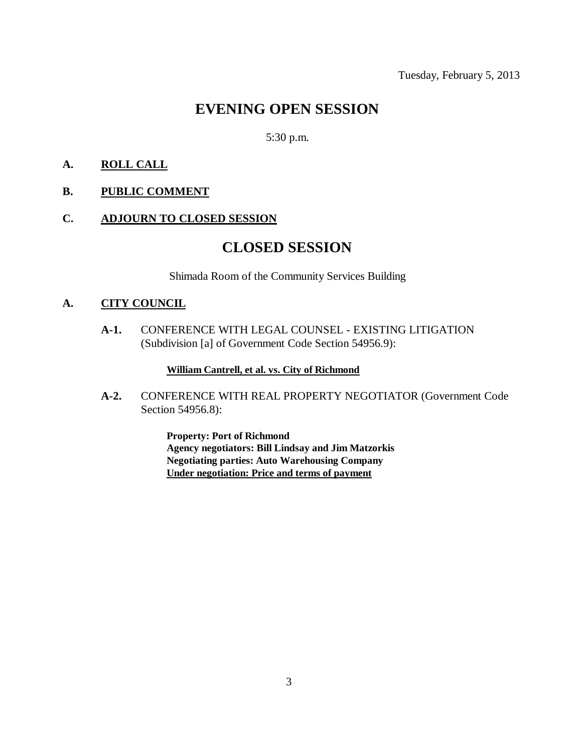# **EVENING OPEN SESSION**

# 5:30 p.m.

# **A. ROLL CALL**

**B. PUBLIC COMMENT**

# **C. ADJOURN TO CLOSED SESSION**

# **CLOSED SESSION**

Shimada Room of the Community Services Building

### **A. CITY COUNCIL**

**A-1.** CONFERENCE WITH LEGAL COUNSEL - EXISTING LITIGATION (Subdivision [a] of Government Code Section 54956.9):

#### **William Cantrell, et al. vs. City of Richmond**

**A-2.** CONFERENCE WITH REAL PROPERTY NEGOTIATOR (Government Code Section 54956.8):

> **Property: Port of Richmond Agency negotiators: Bill Lindsay and Jim Matzorkis Negotiating parties: Auto Warehousing Company Under negotiation: Price and terms of payment**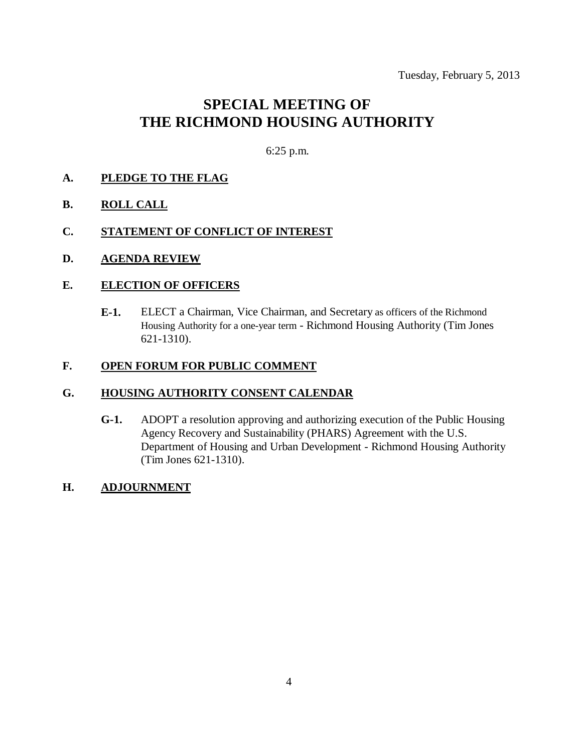# **SPECIAL MEETING OF THE RICHMOND HOUSING AUTHORITY**

6:25 p.m.

# **A. PLEDGE TO THE FLAG**

- **B. ROLL CALL**
- **C. STATEMENT OF CONFLICT OF INTEREST**
- **D. AGENDA REVIEW**

#### **E. ELECTION OF OFFICERS**

**E-1.** ELECT a Chairman, Vice Chairman, and Secretary as officers of the Richmond Housing Authority for a one-year term - Richmond Housing Authority (Tim Jones 621-1310).

#### **F. OPEN FORUM FOR PUBLIC COMMENT**

### **G. HOUSING AUTHORITY CONSENT CALENDAR**

**G-1.** ADOPT a resolution approving and authorizing execution of the Public Housing Agency Recovery and Sustainability (PHARS) Agreement with the U.S. Department of Housing and Urban Development - Richmond Housing Authority (Tim Jones 621-1310).

#### **H. ADJOURNMENT**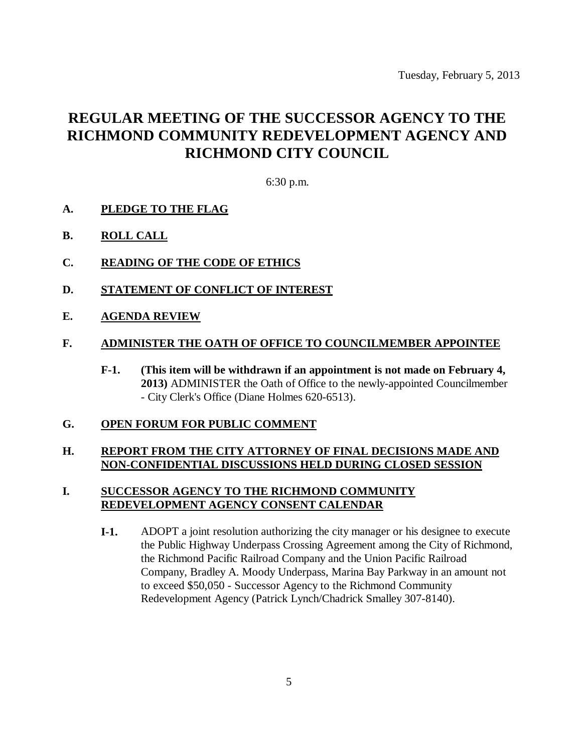# **REGULAR MEETING OF THE SUCCESSOR AGENCY TO THE RICHMOND COMMUNITY REDEVELOPMENT AGENCY AND RICHMOND CITY COUNCIL**

6:30 p.m.

- **A. PLEDGE TO THE FLAG**
- **B. ROLL CALL**
- **C. READING OF THE CODE OF ETHICS**
- **D. STATEMENT OF CONFLICT OF INTEREST**
- **E. AGENDA REVIEW**

#### **F. ADMINISTER THE OATH OF OFFICE TO COUNCILMEMBER APPOINTEE**

**F-1. (This item will be withdrawn if an appointment is not made on February 4, 2013)** ADMINISTER the Oath of Office to the newly-appointed Councilmember - City Clerk's Office (Diane Holmes 620-6513).

#### **G. OPEN FORUM FOR PUBLIC COMMENT**

### **H. REPORT FROM THE CITY ATTORNEY OF FINAL DECISIONS MADE AND NON-CONFIDENTIAL DISCUSSIONS HELD DURING CLOSED SESSION**

# **I. SUCCESSOR AGENCY TO THE RICHMOND COMMUNITY REDEVELOPMENT AGENCY CONSENT CALENDAR**

**I-1.** ADOPT a joint resolution authorizing the city manager or his designee to execute the Public Highway Underpass Crossing Agreement among the City of Richmond, the Richmond Pacific Railroad Company and the Union Pacific Railroad Company, Bradley A. Moody Underpass, Marina Bay Parkway in an amount not to exceed \$50,050 - Successor Agency to the Richmond Community Redevelopment Agency (Patrick Lynch/Chadrick Smalley 307-8140).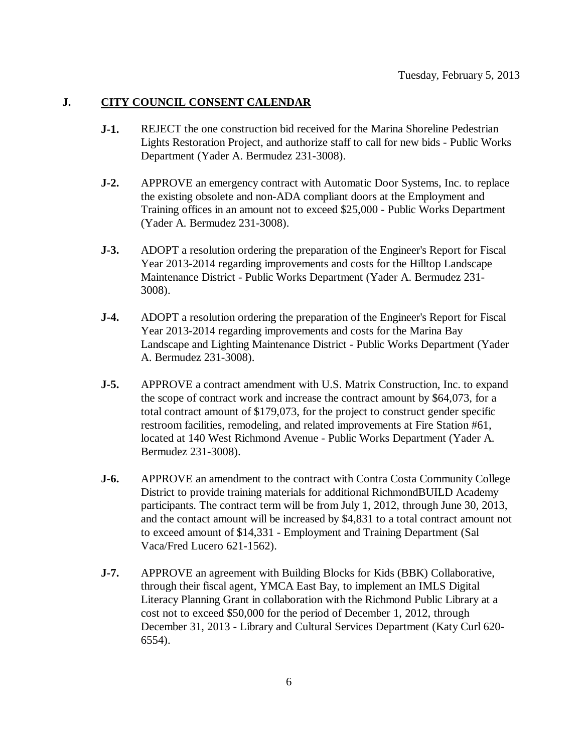### **J. CITY COUNCIL CONSENT CALENDAR**

- **J-1.** REJECT the one construction bid received for the Marina Shoreline Pedestrian Lights Restoration Project, and authorize staff to call for new bids - Public Works Department (Yader A. Bermudez 231-3008).
- **J-2.** APPROVE an emergency contract with Automatic Door Systems, Inc. to replace the existing obsolete and non-ADA compliant doors at the Employment and Training offices in an amount not to exceed \$25,000 - Public Works Department (Yader A. Bermudez 231-3008).
- **J-3.** ADOPT a resolution ordering the preparation of the Engineer's Report for Fiscal Year 2013-2014 regarding improvements and costs for the Hilltop Landscape Maintenance District - Public Works Department (Yader A. Bermudez 231- 3008).
- **J-4.** ADOPT a resolution ordering the preparation of the Engineer's Report for Fiscal Year 2013-2014 regarding improvements and costs for the Marina Bay Landscape and Lighting Maintenance District - Public Works Department (Yader A. Bermudez 231-3008).
- **J-5.** APPROVE a contract amendment with U.S. Matrix Construction, Inc. to expand the scope of contract work and increase the contract amount by \$64,073, for a total contract amount of \$179,073, for the project to construct gender specific restroom facilities, remodeling, and related improvements at Fire Station #61, located at 140 West Richmond Avenue - Public Works Department (Yader A. Bermudez 231-3008).
- **J-6.** APPROVE an amendment to the contract with Contra Costa Community College District to provide training materials for additional RichmondBUILD Academy participants. The contract term will be from July 1, 2012, through June 30, 2013, and the contact amount will be increased by \$4,831 to a total contract amount not to exceed amount of \$14,331 - Employment and Training Department (Sal Vaca/Fred Lucero 621-1562).
- **J-7.** APPROVE an agreement with Building Blocks for Kids (BBK) Collaborative, through their fiscal agent, YMCA East Bay, to implement an IMLS Digital Literacy Planning Grant in collaboration with the Richmond Public Library at a cost not to exceed \$50,000 for the period of December 1, 2012, through December 31, 2013 - Library and Cultural Services Department (Katy Curl 620- 6554).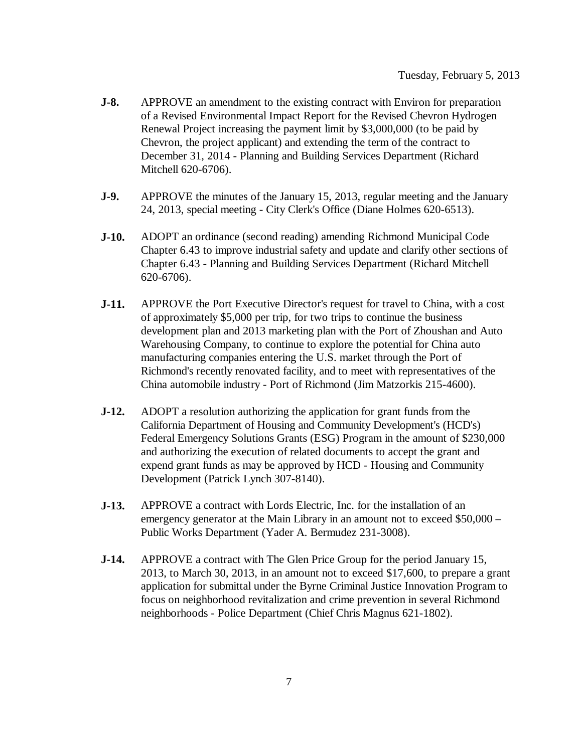- **J-8.** APPROVE an amendment to the existing contract with Environ for preparation of a Revised Environmental Impact Report for the Revised Chevron Hydrogen Renewal Project increasing the payment limit by \$3,000,000 (to be paid by Chevron, the project applicant) and extending the term of the contract to December 31, 2014 - Planning and Building Services Department (Richard Mitchell 620-6706).
- **J-9.** APPROVE the minutes of the January 15, 2013, regular meeting and the January 24, 2013, special meeting - City Clerk's Office (Diane Holmes 620-6513).
- **J-10.** ADOPT an ordinance (second reading) amending Richmond Municipal Code Chapter 6.43 to improve industrial safety and update and clarify other sections of Chapter 6.43 - Planning and Building Services Department (Richard Mitchell 620-6706).
- **J-11.** APPROVE the Port Executive Director's request for travel to China, with a cost of approximately \$5,000 per trip, for two trips to continue the business development plan and 2013 marketing plan with the Port of Zhoushan and Auto Warehousing Company, to continue to explore the potential for China auto manufacturing companies entering the U.S. market through the Port of Richmond's recently renovated facility, and to meet with representatives of the China automobile industry - Port of Richmond (Jim Matzorkis 215-4600).
- **J-12.** ADOPT a resolution authorizing the application for grant funds from the California Department of Housing and Community Development's (HCD's) Federal Emergency Solutions Grants (ESG) Program in the amount of \$230,000 and authorizing the execution of related documents to accept the grant and expend grant funds as may be approved by HCD - Housing and Community Development (Patrick Lynch 307-8140).
- **J-13.** APPROVE a contract with Lords Electric, Inc. for the installation of an emergency generator at the Main Library in an amount not to exceed \$50,000 – Public Works Department (Yader A. Bermudez 231-3008).
- **J-14.** APPROVE a contract with The Glen Price Group for the period January 15, 2013, to March 30, 2013, in an amount not to exceed \$17,600, to prepare a grant application for submittal under the Byrne Criminal Justice Innovation Program to focus on neighborhood revitalization and crime prevention in several Richmond neighborhoods - Police Department (Chief Chris Magnus 621-1802).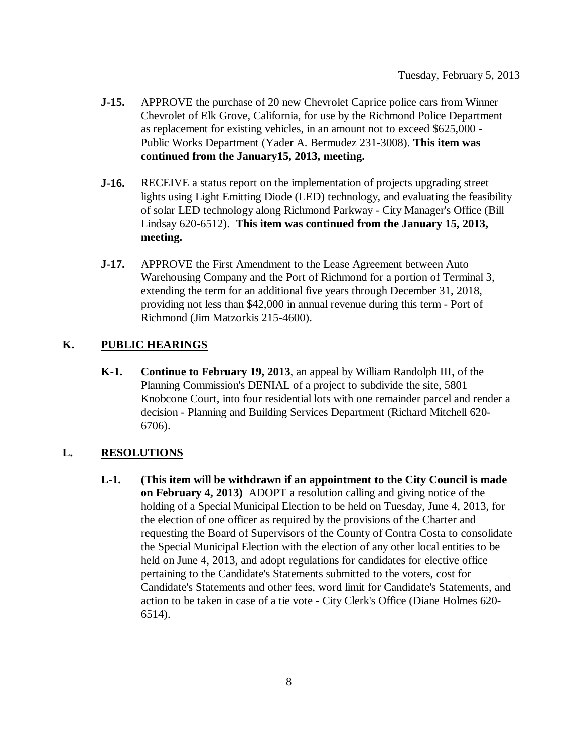- **J-15.** APPROVE the purchase of 20 new Chevrolet Caprice police cars from Winner Chevrolet of Elk Grove, California, for use by the Richmond Police Department as replacement for existing vehicles, in an amount not to exceed \$625,000 - Public Works Department (Yader A. Bermudez 231-3008). **This item was continued from the January15, 2013, meeting.**
- **J-16.** RECEIVE a status report on the implementation of projects upgrading street lights using Light Emitting Diode (LED) technology, and evaluating the feasibility of solar LED technology along Richmond Parkway - City Manager's Office (Bill Lindsay 620-6512). **This item was continued from the January 15, 2013, meeting.**
- **J-17.** APPROVE the First Amendment to the Lease Agreement between Auto Warehousing Company and the Port of Richmond for a portion of Terminal 3, extending the term for an additional five years through December 31, 2018, providing not less than \$42,000 in annual revenue during this term - Port of Richmond (Jim Matzorkis 215-4600).

### **K. PUBLIC HEARINGS**

**K-1. Continue to February 19, 2013**, an appeal by William Randolph III, of the Planning Commission's DENIAL of a project to subdivide the site, 5801 Knobcone Court, into four residential lots with one remainder parcel and render a decision - Planning and Building Services Department (Richard Mitchell 620- 6706).

#### **L. RESOLUTIONS**

**L-1. (This item will be withdrawn if an appointment to the City Council is made on February 4, 2013)** ADOPT a resolution calling and giving notice of the holding of a Special Municipal Election to be held on Tuesday, June 4, 2013, for the election of one officer as required by the provisions of the Charter and requesting the Board of Supervisors of the County of Contra Costa to consolidate the Special Municipal Election with the election of any other local entities to be held on June 4, 2013, and adopt regulations for candidates for elective office pertaining to the Candidate's Statements submitted to the voters, cost for Candidate's Statements and other fees, word limit for Candidate's Statements, and action to be taken in case of a tie vote - City Clerk's Office (Diane Holmes 620- 6514).